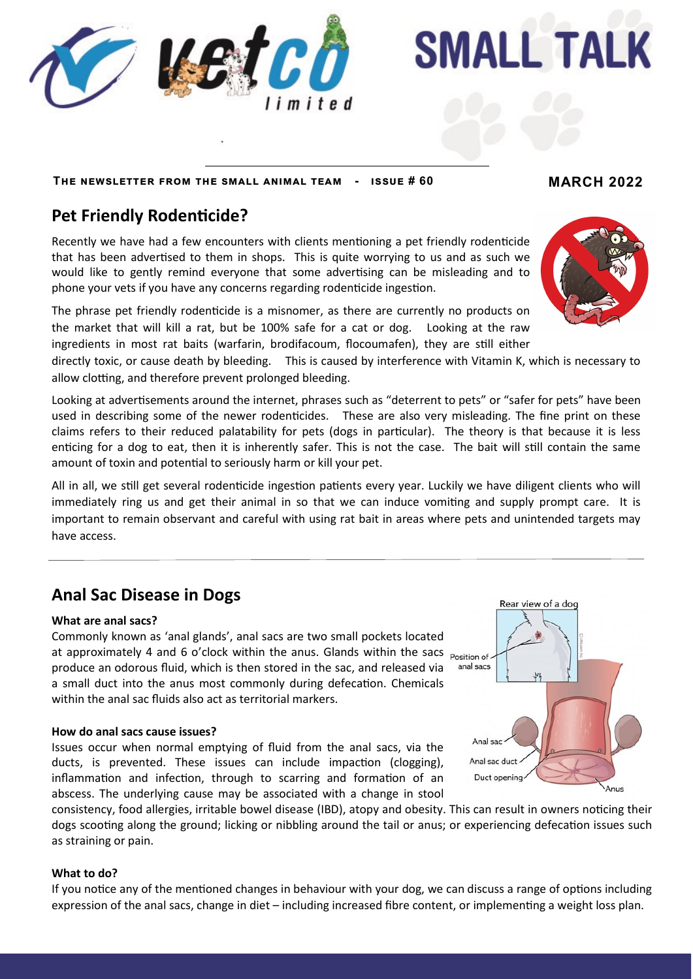

## **The newsletter from the small animal team - issue # 60 MARCH 2022**

# **Pet Friendly Rodenticide?**

Recently we have had a few encounters with clients mentioning a pet friendly rodenticide that has been advertised to them in shops. This is quite worrying to us and as such we would like to gently remind everyone that some advertising can be misleading and to phone your vets if you have any concerns regarding rodenticide ingestion.

The phrase pet friendly rodenticide is a misnomer, as there are currently no products on the market that will kill a rat, but be 100% safe for a cat or dog. Looking at the raw ingredients in most rat baits (warfarin, brodifacoum, flocoumafen), they are still either

directly toxic, or cause death by bleeding. This is caused by interference with Vitamin K, which is necessary to allow clotting, and therefore prevent prolonged bleeding.

Looking at advertisements around the internet, phrases such as "deterrent to pets" or "safer for pets" have been used in describing some of the newer rodenticides. These are also very misleading. The fine print on these claims refers to their reduced palatability for pets (dogs in particular). The theory is that because it is less enticing for a dog to eat, then it is inherently safer. This is not the case. The bait will still contain the same amount of toxin and potential to seriously harm or kill your pet.

All in all, we still get several rodenticide ingestion patients every year. Luckily we have diligent clients who will immediately ring us and get their animal in so that we can induce vomiting and supply prompt care. It is important to remain observant and careful with using rat bait in areas where pets and unintended targets may have access.

## **Anal Sac Disease in Dogs**

### **What are anal sacs?**

Commonly known as 'anal glands', anal sacs are two small pockets located at approximately 4 and 6 o'clock within the anus. Glands within the sacs  $_{position of}$ . produce an odorous fluid, which is then stored in the sac, and released via a small duct into the anus most commonly during defecation. Chemicals within the anal sac fluids also act as territorial markers.

### **How do anal sacs cause issues?**

Issues occur when normal emptying of fluid from the anal sacs, via the ducts, is prevented. These issues can include impaction (clogging), inflammation and infection, through to scarring and formation of an abscess. The underlying cause may be associated with a change in stool



#### **What to do?**

If you notice any of the mentioned changes in behaviour with your dog, we can discuss a range of options including expression of the anal sacs, change in diet – including increased fibre content, or implementing a weight loss plan.





# **SMALL TALK**